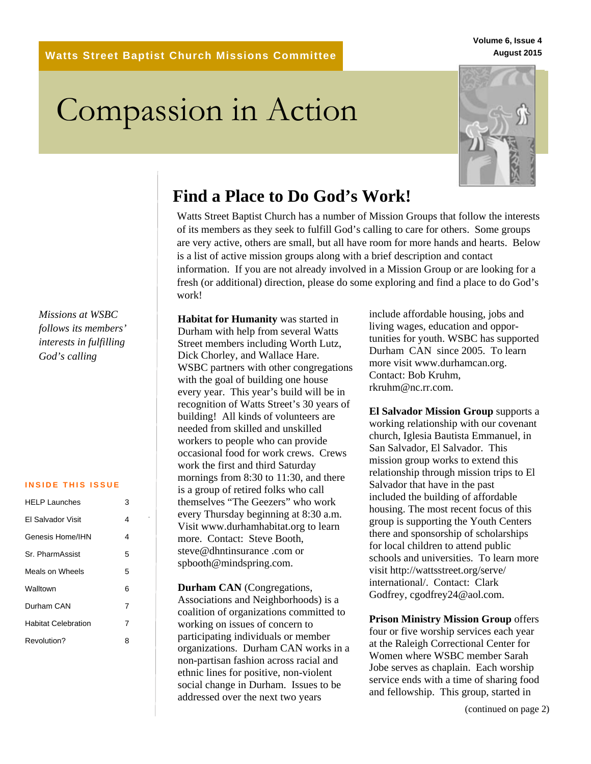**Watts Street Baptist Church Missions Committee**

**Volume 6, Issue 4 August 2015**

# Compassion in Action



# **Find a Place to Do God's Work!**

Watts Street Baptist Church has a number of Mission Groups that follow the interests of its members as they seek to fulfill God's calling to care for others. Some groups are very active, others are small, but all have room for more hands and hearts. Below is a list of active mission groups along with a brief description and contact information. If you are not already involved in a Mission Group or are looking for a fresh (or additional) direction, please do some exploring and find a place to do God's work!

*Missions at WSBC follows its members' interests in fulfilling God's calling*

#### **INSIDE THIS ISSUE**

| HFI P Launches             | 3 |
|----------------------------|---|
| FI Salvador Visit          | 4 |
| Genesis Home/IHN           | 4 |
| Sr. PharmAssist            | 5 |
| Meals on Wheels            | 5 |
| Walltown                   | 6 |
| Durham CAN                 | 7 |
| <b>Habitat Celebration</b> | 7 |
| Revolution?                | 8 |

**Habitat for Humanity** was started in Durham with help from several Watts Street members including Worth Lutz, Dick Chorley, and Wallace Hare. WSBC partners with other congregations with the goal of building one house every year. This year's build will be in recognition of Watts Street's 30 years of building! All kinds of volunteers are needed from skilled and unskilled workers to people who can provide occasional food for work crews. Crews work the first and third Saturday mornings from 8:30 to 11:30, and there is a group of retired folks who call themselves "The Geezers" who work every Thursday beginning at 8:30 a.m. Visit www.durhamhabitat.org to learn more. Contact: Steve Booth, steve@dhntinsurance .com or spbooth@mindspring.com.

**Durham CAN** (Congregations, Associations and Neighborhoods) is a coalition of organizations committed to working on issues of concern to participating individuals or member organizations. Durham CAN works in a non-partisan fashion across racial and ethnic lines for positive, non-violent social change in Durham. Issues to be addressed over the next two years

include affordable housing, jobs and living wages, education and opportunities for youth. WSBC has supported Durham CAN since 2005. To learn more visit www.durhamcan.org. Contact: Bob Kruhm, rkruhm@nc.rr.com.

**El Salvador Mission Group** supports a working relationship with our covenant church, Iglesia Bautista Emmanuel, in San Salvador, El Salvador. This mission group works to extend this relationship through mission trips to El Salvador that have in the past included the building of affordable housing. The most recent focus of this group is supporting the Youth Centers there and sponsorship of scholarships for local children to attend public schools and universities. To learn more visit http://wattsstreet.org/serve/ international/. Contact: Clark Godfrey, cgodfrey24@aol.com.

**Prison Ministry Mission Group** offers four or five worship services each year at the Raleigh Correctional Center for Women where WSBC member Sarah Jobe serves as chaplain. Each worship service ends with a time of sharing food and fellowship. This group, started in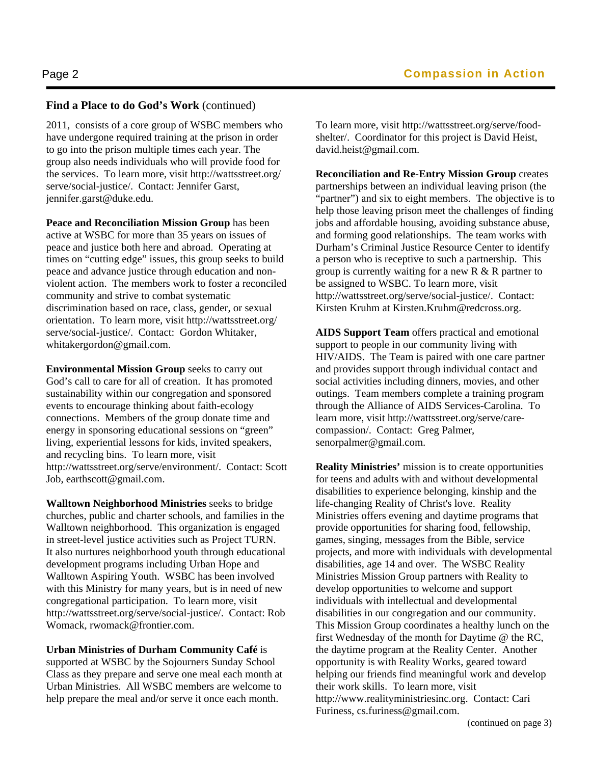### **Find a Place to do God's Work** (continued)

2011, consists of a core group of WSBC members who have undergone required training at the prison in order to go into the prison multiple times each year. The group also needs individuals who will provide food for the services. To learn more, visit http://wattsstreet.org/ serve/social-justice/. Contact: Jennifer Garst, jennifer.garst@duke.edu.

**Peace and Reconciliation Mission Group** has been active at WSBC for more than 35 years on issues of peace and justice both here and abroad. Operating at times on "cutting edge" issues, this group seeks to build peace and advance justice through education and nonviolent action. The members work to foster a reconciled community and strive to combat systematic discrimination based on race, class, gender, or sexual orientation. To learn more, visit http://wattsstreet.org/ serve/social-justice/. Contact: Gordon Whitaker, whitakergordon@gmail.com.

**Environmental Mission Group** seeks to carry out God's call to care for all of creation. It has promoted sustainability within our congregation and sponsored events to encourage thinking about faith-ecology connections. Members of the group donate time and energy in sponsoring educational sessions on "green" living, experiential lessons for kids, invited speakers, and recycling bins. To learn more, visit http://wattsstreet.org/serve/environment/. Contact: Scott Job, earthscott@gmail.com.

**Walltown Neighborhood Ministries** seeks to bridge churches, public and charter schools, and families in the Walltown neighborhood. This organization is engaged in street-level justice activities such as Project TURN. It also nurtures neighborhood youth through educational development programs including Urban Hope and Walltown Aspiring Youth. WSBC has been involved with this Ministry for many years, but is in need of new congregational participation. To learn more, visit http://wattsstreet.org/serve/social-justice/. Contact: Rob Womack, rwomack@frontier.com.

**Urban Ministries of Durham Community Café** is supported at WSBC by the Sojourners Sunday School Class as they prepare and serve one meal each month at Urban Ministries. All WSBC members are welcome to help prepare the meal and/or serve it once each month.

To learn more, visit http://wattsstreet.org/serve/foodshelter/. Coordinator for this project is David Heist, david.heist@gmail.com.

**Reconciliation and Re-Entry Mission Group** creates partnerships between an individual leaving prison (the "partner") and six to eight members. The objective is to help those leaving prison meet the challenges of finding jobs and affordable housing, avoiding substance abuse, and forming good relationships. The team works with Durham's Criminal Justice Resource Center to identify a person who is receptive to such a partnership. This group is currently waiting for a new R & R partner to be assigned to WSBC. To learn more, visit http://wattsstreet.org/serve/social-justice/. Contact: Kirsten Kruhm at Kirsten.Kruhm@redcross.org.

**AIDS Support Team** offers practical and emotional support to people in our community living with HIV/AIDS. The Team is paired with one care partner and provides support through individual contact and social activities including dinners, movies, and other outings. Team members complete a training program through the Alliance of AIDS Services-Carolina. To learn more, visit http://wattsstreet.org/serve/carecompassion/. Contact: Greg Palmer, senorpalmer@gmail.com.

**Reality Ministries'** mission is to create opportunities for teens and adults with and without developmental disabilities to experience belonging, kinship and the life-changing Reality of Christ's love. Reality Ministries offers evening and daytime programs that provide opportunities for sharing food, fellowship, games, singing, messages from the Bible, service projects, and more with individuals with developmental disabilities, age 14 and over. The WSBC Reality Ministries Mission Group partners with Reality to develop opportunities to welcome and support individuals with intellectual and developmental disabilities in our congregation and our community. This Mission Group coordinates a healthy lunch on the first Wednesday of the month for Daytime @ the RC, the daytime program at the Reality Center. Another opportunity is with Reality Works, geared toward helping our friends find meaningful work and develop their work skills. To learn more, visit http://www.realityministriesinc.org. Contact: Cari Furiness, cs.furiness@gmail.com.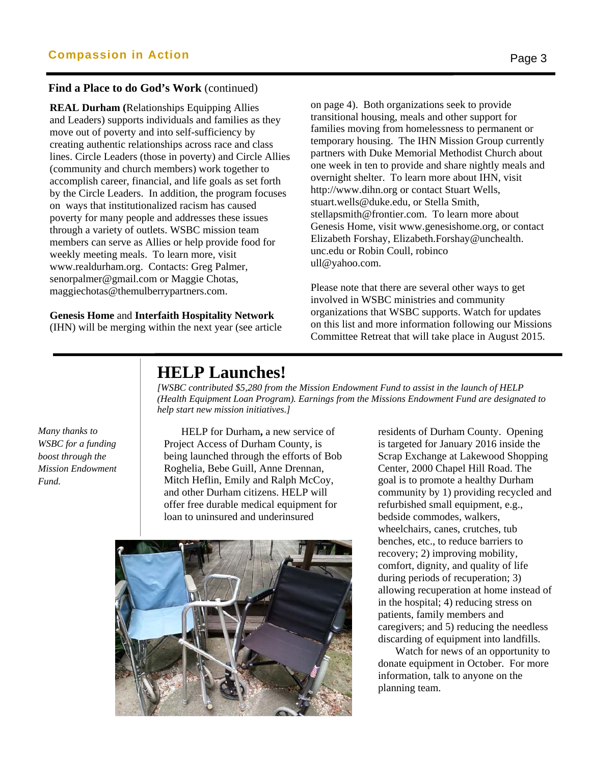#### **Find a Place to do God's Work** (continued)

**REAL Durham (**Relationships Equipping Allies and Leaders) supports individuals and families as they move out of poverty and into self-sufficiency by creating authentic relationships across race and class lines. Circle Leaders (those in poverty) and Circle Allies (community and church members) work together to accomplish career, financial, and life goals as set forth by the Circle Leaders. In addition, the program focuses on ways that institutionalized racism has caused poverty for many people and addresses these issues through a variety of outlets. WSBC mission team members can serve as Allies or help provide food for weekly meeting meals. To learn more, visit www.realdurham.org. Contacts: Greg Palmer, senorpalmer@gmail.com or Maggie Chotas, maggiechotas@themulberrypartners.com.

#### **Genesis Home** and **Interfaith Hospitality Network**

(IHN) will be merging within the next year (see article

on page 4). Both organizations seek to provide transitional housing, meals and other support for families moving from homelessness to permanent or temporary housing. The IHN Mission Group currently partners with Duke Memorial Methodist Church about one week in ten to provide and share nightly meals and overnight shelter. To learn more about IHN, visit http://www.dihn.org or contact Stuart Wells, stuart.wells@duke.edu, or Stella Smith, stellapsmith@frontier.com. To learn more about Genesis Home, visit www.genesishome.org, or contact Elizabeth Forshay, Elizabeth.Forshay@unchealth. unc.edu or Robin Coull, robinco ull@yahoo.com.

Please note that there are several other ways to get involved in WSBC ministries and community organizations that WSBC supports. Watch for updates on this list and more information following our Missions Committee Retreat that will take place in August 2015.

## **HELP Launches!**

*[WSBC contributed \$5,280 from the Mission Endowment Fund to assist in the launch of HELP (Health Equipment Loan Program). Earnings from the Missions Endowment Fund are designated to help start new mission initiatives.]* 

*Many thanks to WSBC for a funding boost through the Mission Endowment Fund.*

 HELP for Durham**,** a new service of Project Access of Durham County, is being launched through the efforts of Bob Roghelia, Bebe Guill, Anne Drennan, Mitch Heflin, Emily and Ralph McCoy, and other Durham citizens. HELP will offer free durable medical equipment for loan to uninsured and underinsured



residents of Durham County. Opening is targeted for January 2016 inside the Scrap Exchange at Lakewood Shopping Center, 2000 Chapel Hill Road. The goal is to promote a healthy Durham community by 1) providing recycled and refurbished small equipment, e.g., bedside commodes, walkers, wheelchairs, canes, crutches, tub benches, etc., to reduce barriers to recovery; 2) improving mobility, comfort, dignity, and quality of life during periods of recuperation; 3) allowing recuperation at home instead of in the hospital; 4) reducing stress on patients, family members and caregivers; and 5) reducing the needless discarding of equipment into landfills.

 Watch for news of an opportunity to donate equipment in October. For more information, talk to anyone on the planning team.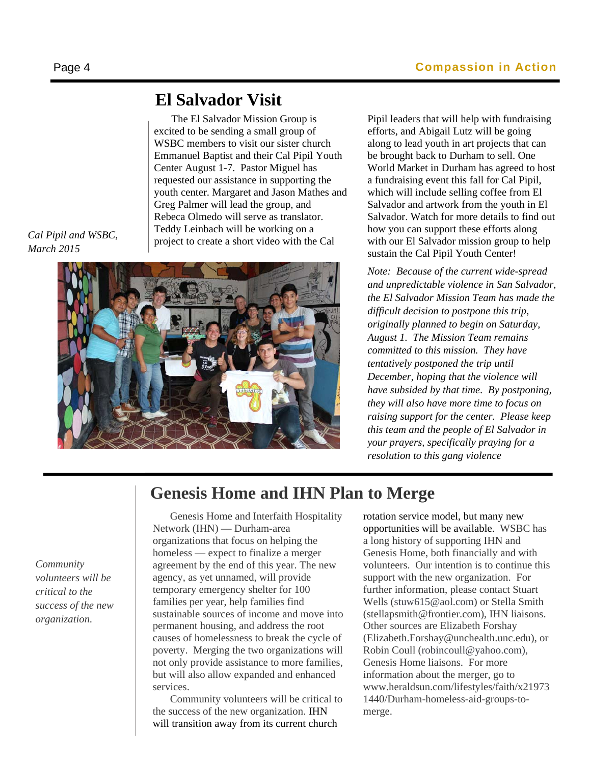The El Salvador Mission Group is excited to be sending a small group of WSBC members to visit our sister church Emmanuel Baptist and their Cal Pipil Youth Center August 1-7. Pastor Miguel has requested our assistance in supporting the youth center. Margaret and Jason Mathes and Greg Palmer will lead the group, and Rebeca Olmedo will serve as translator. Teddy Leinbach will be working on a project to create a short video with the Cal

*Cal Pipil and WSBC, March 2015* 



Pipil leaders that will help with fundraising efforts, and Abigail Lutz will be going along to lead youth in art projects that can be brought back to Durham to sell. One World Market in Durham has agreed to host a fundraising event this fall for Cal Pipil, which will include selling coffee from El Salvador and artwork from the youth in El Salvador. Watch for more details to find out how you can support these efforts along with our El Salvador mission group to help sustain the Cal Pipil Youth Center!

*Note: Because of the current wide-spread and unpredictable violence in San Salvador, the El Salvador Mission Team has made the difficult decision to postpone this trip, originally planned to begin on Saturday, August 1. The Mission Team remains committed to this mission. They have tentatively postponed the trip until December, hoping that the violence will have subsided by that time. By postponing, they will also have more time to focus on raising support for the center. Please keep this team and the people of El Salvador in your prayers, specifically praying for a resolution to this gang violence*

# **Genesis Home and IHN Plan to Merge**

*Community volunteers will be critical to the success of the new organization.*

Genesis Home and Interfaith Hospitality Network (IHN) — Durham-area organizations that focus on helping the homeless — expect to finalize a merger agreement by the end of this year. The new agency, as yet unnamed, will provide temporary emergency shelter for 100 families per year, help families find sustainable sources of income and move into permanent housing, and address the root causes of homelessness to break the cycle of poverty. Merging the two organizations will not only provide assistance to more families, but will also allow expanded and enhanced services.

 Community volunteers will be critical to the success of the new organization. IHN will transition away from its current church

rotation service model, but many new opportunities will be available. WSBC has a long history of supporting IHN and Genesis Home, both financially and with volunteers. Our intention is to continue this support with the new organization. For further information, please contact Stuart Wells (stuw615@aol.com) or Stella Smith (stellapsmith@frontier.com), IHN liaisons. Other sources are Elizabeth Forshay (Elizabeth.Forshay@unchealth.unc.edu), or Robin Coull (robincoull@yahoo.com), Genesis Home liaisons. For more information about the merger, go to www.heraldsun.com/lifestyles/faith/x21973 1440/Durham-homeless-aid-groups-tomerge.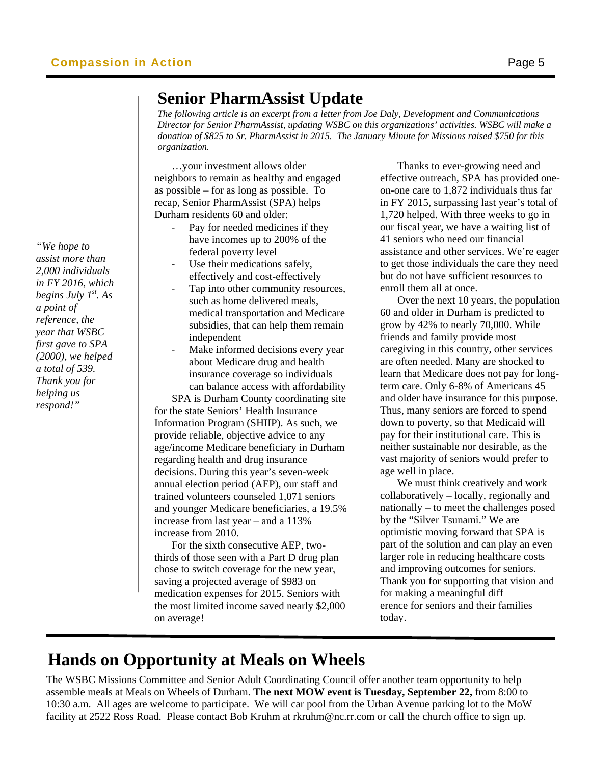## **Senior PharmAssist Update**

*The following article is an excerpt from a letter from Joe Daly, Development and Communications Director for Senior PharmAssist, updating WSBC on this organizations' activities. WSBC will make a donation of \$825 to Sr. PharmAssist in 2015. The January Minute for Missions raised \$750 for this organization.* 

 …your investment allows older neighbors to remain as healthy and engaged as possible – for as long as possible. To recap, Senior PharmAssist (SPA) helps Durham residents 60 and older:

- Pay for needed medicines if they have incomes up to 200% of the federal poverty level
- Use their medications safely, effectively and cost-effectively
- ‐ Tap into other community resources, such as home delivered meals, medical transportation and Medicare subsidies, that can help them remain independent
- Make informed decisions every year about Medicare drug and health insurance coverage so individuals can balance access with affordability

 SPA is Durham County coordinating site for the state Seniors' Health Insurance Information Program (SHIIP). As such, we provide reliable, objective advice to any age/income Medicare beneficiary in Durham regarding health and drug insurance decisions. During this year's seven-week annual election period (AEP), our staff and trained volunteers counseled 1,071 seniors and younger Medicare beneficiaries, a 19.5% increase from last year – and a 113% increase from 2010.

 For the sixth consecutive AEP, twothirds of those seen with a Part D drug plan chose to switch coverage for the new year, saving a projected average of \$983 on medication expenses for 2015. Seniors with the most limited income saved nearly \$2,000 on average!

 Thanks to ever-growing need and effective outreach, SPA has provided oneon-one care to 1,872 individuals thus far in FY 2015, surpassing last year's total of 1,720 helped. With three weeks to go in our fiscal year, we have a waiting list of 41 seniors who need our financial assistance and other services. We're eager to get those individuals the care they need but do not have sufficient resources to enroll them all at once.

 Over the next 10 years, the population 60 and older in Durham is predicted to grow by 42% to nearly 70,000. While friends and family provide most caregiving in this country, other services are often needed. Many are shocked to learn that Medicare does not pay for longterm care. Only 6-8% of Americans 45 and older have insurance for this purpose. Thus, many seniors are forced to spend down to poverty, so that Medicaid will pay for their institutional care. This is neither sustainable nor desirable, as the vast majority of seniors would prefer to age well in place.

 We must think creatively and work collaboratively – locally, regionally and nationally – to meet the challenges posed by the "Silver Tsunami." We are optimistic moving forward that SPA is part of the solution and can play an even larger role in reducing healthcare costs and improving outcomes for seniors. Thank you for supporting that vision and for making a meaningful diff erence for seniors and their families today.

# **Hands on Opportunity at Meals on Wheels**

The WSBC Missions Committee and Senior Adult Coordinating Council offer another team opportunity to help assemble meals at Meals on Wheels of Durham. **The next MOW event is Tuesday, September 22,** from 8:00 to 10:30 a.m. All ages are welcome to participate. We will car pool from the Urban Avenue parking lot to the MoW facility at 2522 Ross Road. Please contact Bob Kruhm at rkruhm@nc.rr.com or call the church office to sign up.

*"We hope to assist more than 2,000 individuals in FY 2016, which begins July 1st. As a point of reference, the year that WSBC first gave to SPA (2000), we helped a total of 539. Thank you for helping us respond!"*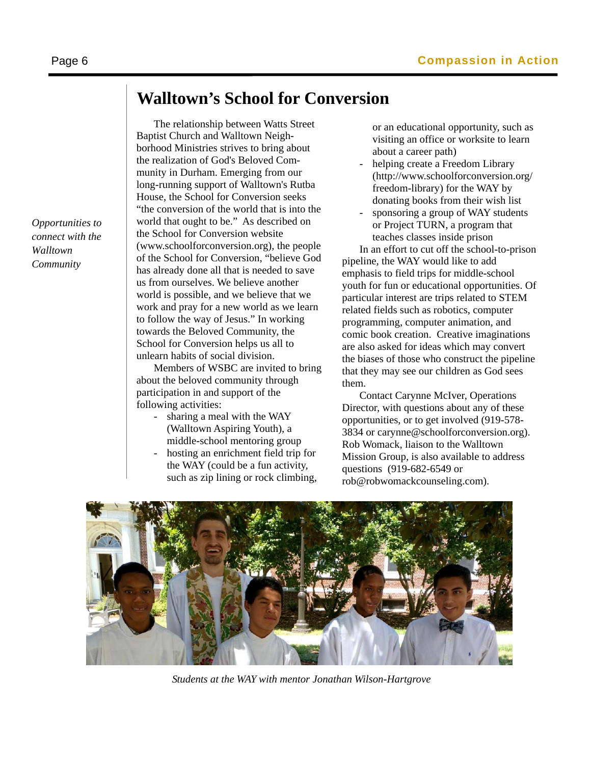# **Walltown's School for Conversion**

 The relationship between Watts Street Baptist Church and Walltown Neighborhood Ministries strives to bring about the realization of God's Beloved Community in Durham. Emerging from our long-running support of Walltown's Rutba House, the School for Conversion seeks "the conversion of the world that is into the world that ought to be." As described on the School for Conversion website (www.schoolforconversion.org), the people of the School for Conversion, "believe God has already done all that is needed to save us from ourselves. We believe another world is possible, and we believe that we work and pray for a new world as we learn to follow the way of Jesus." In working towards the Beloved Community, the School for Conversion helps us all to unlearn habits of social division.

 Members of WSBC are invited to bring about the beloved community through participation in and support of the following activities:

- sharing a meal with the WAY (Walltown Aspiring Youth), a middle-school mentoring group
- hosting an enrichment field trip for the WAY (could be a fun activity, such as zip lining or rock climbing,

or an educational opportunity, such as visiting an office or worksite to learn about a career path)

- helping create a Freedom Library (http://www.schoolforconversion.org/ freedom-library) for the WAY by donating books from their wish list
- sponsoring a group of WAY students or Project TURN, a program that teaches classes inside prison

 In an effort to cut off the school-to-prison pipeline, the WAY would like to add emphasis to field trips for middle-school youth for fun or educational opportunities. Of particular interest are trips related to STEM related fields such as robotics, computer programming, computer animation, and comic book creation. Creative imaginations are also asked for ideas which may convert the biases of those who construct the pipeline that they may see our children as God sees them.

 Contact Carynne McIver, Operations Director, with questions about any of these opportunities, or to get involved (919-578- 3834 or carynne@schoolforconversion.org). Rob Womack, liaison to the Walltown Mission Group, is also available to address questions (919-682-6549 or rob@robwomackcounseling.com).



*Students at the WAY with mentor Jonathan Wilson-Hartgrove* 

*Opportunities to connect with the Walltown Community*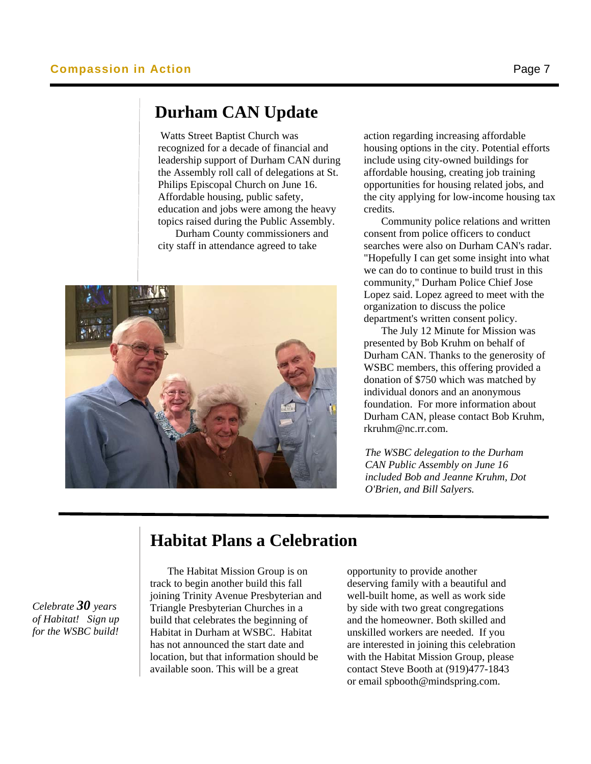## **Durham CAN Update**

Watts Street Baptist Church was recognized for a decade of financial and leadership support of Durham CAN during the Assembly roll call of delegations at St. Philips Episcopal Church on June 16. Affordable housing, public safety, education and jobs were among the heavy topics raised during the Public Assembly. Durham County commissioners and

city staff in attendance agreed to take



 action regarding increasing affordable . include using city-owned buildings for affordable housing, creating job training credits. housing options in the city. Potential efforts opportunities for housing related jobs, and the city applying for low-income housing tax

 Community police relations and written consent from police officers to conduct searches were also on Durham CAN's radar. "Hopefully I can get some insight into what we can do to continue to build trust in this community," Durham Police Chief Jose Lopez said. Lopez agreed to meet with the organization to discuss the police department's written consent policy.

The July 12 Minute for Mission was presented by Bob Kruhm on behalf of Durham CAN. Thanks to the generosity of WSBC members, this offering provided a donation of \$750 which was matched by individual donors and an anonymous foundation. For more information about Durham CAN, please contact Bob Kruhm, rkruhm@nc.rr.com.

*The WSBC delegation to the Durham CAN Public Assembly on June 16 included Bob and Jeanne Kruhm, Dot O'Brien, and Bill Salyers.* 

#### *Celebrate 30 years of Habitat! Sign up for the WSBC build!*

# **Habitat Plans a Celebration**

The Habitat Mission Group is on track to begin another build this fall joining Trinity Avenue Presbyterian and Triangle Presbyterian Churches in a build that celebrates the beginning of Habitat in Durham at WSBC. Habitat has not announced the start date and location, but that information should be available soon. This will be a great

opportunity to provide another deserving family with a beautiful and well-built home, as well as work side by side with two great congregations and the homeowner. Both skilled and unskilled workers are needed. If you are interested in joining this celebration with the Habitat Mission Group, please contact Steve Booth at (919)477-1843 or email spbooth@mindspring.com.